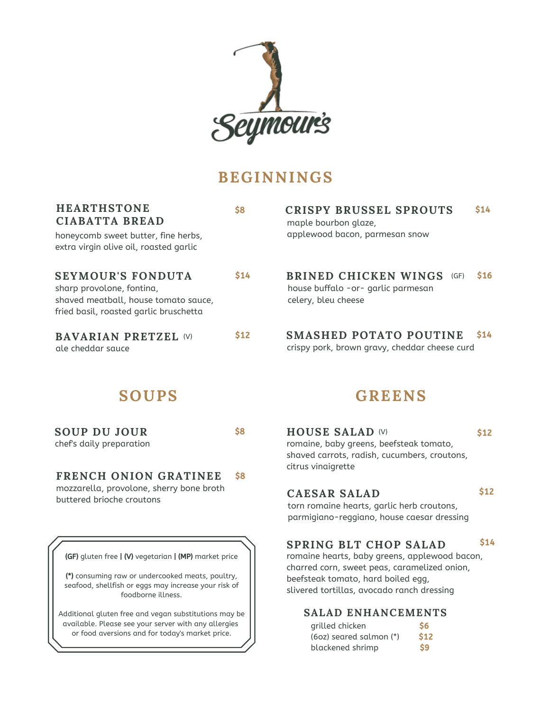

# **BEGINNINGS**

| <b>HEARTHSTONE</b><br><b>CIABATTA BREAD</b><br>honeycomb sweet butter, fine herbs,<br>extra virgin olive oil, roasted garlic            | \$8         | <b>CRISPY BRUSSEL SPROUTS</b><br>maple bourbon glaze,<br>applewood bacon, parmesan snow          | \$14       |
|-----------------------------------------------------------------------------------------------------------------------------------------|-------------|--------------------------------------------------------------------------------------------------|------------|
| <b>SEYMOUR'S FONDUTA</b><br>sharp provolone, fontina,<br>shaved meatball, house tomato sauce,<br>fried basil, roasted garlic bruschetta | <b>\$14</b> | <b>BRINED CHICKEN WINGS</b><br>(GF)<br>house buffalo -or- garlic parmesan<br>celery, bleu cheese | \$16       |
| <b>BAVARIAN PRETZEL (V)</b><br>ale cheddar sauce                                                                                        | \$12        | <b>SMASHED POTATO POUTINE</b><br>crispy pork, brown gravy, cheddar cheese curd                   | <b>S14</b> |
|                                                                                                                                         |             |                                                                                                  |            |

## **SOUPS**

**SOUP DU JOUR** chef's daily preparation \$8

#### **FRENCH ONION GRATINEE** mozzarella, provolone, sherry bone broth \$8

buttered brioche croutons

(GF) gluten free | (V) vegetarian | (MP) market price

(\*) consuming raw or undercooked meats, poultry, seafood, shellfish or eggs may increase your risk of foodborne illness.

Additional gluten free and vegan substitutions may be available. Please see your server with any allergies or food aversions and for today's market price.

## **GREENS**

**HOUSE SALAD** (V) romaine, baby greens, beefsteak tomato, shaved carrots, radish, cucumbers, croutons, citrus vinaigrette \$12

## **CAESAR SALAD**

\$12

torn romaine hearts, garlic herb croutons, parmigiano-reggiano, house caesar dressing

#### **SPRING BLT CHOP SALAD** \$14

romaine hearts, baby greens, applewood bacon, charred corn, sweet peas, caramelized onion, beefsteak tomato, hard boiled egg, slivered tortillas, avocado ranch dressing

### **SALAD ENHANCEMENTS**

| grilled chicken         | \$6           |
|-------------------------|---------------|
| (60z) seared salmon (*) | \$12          |
| blackened shrimp        | $\mathsf{S}9$ |